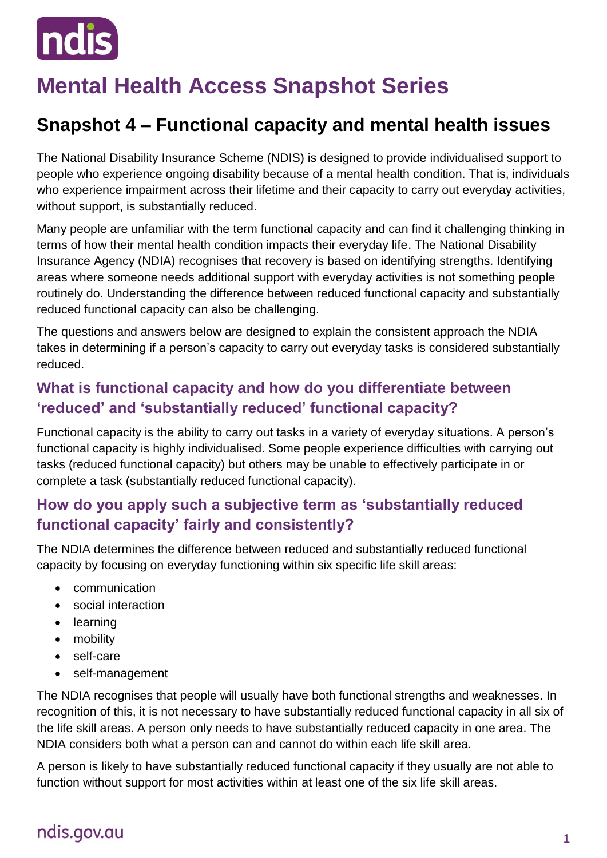

# **Mental Health Access Snapshot Series**

# **Snapshot 4 – Functional capacity and mental health issues**

The National Disability Insurance Scheme (NDIS) is designed to provide individualised support to people who experience ongoing disability because of a mental health condition. That is, individuals who experience impairment across their lifetime and their capacity to carry out everyday activities, without support, is substantially reduced.

Many people are unfamiliar with the term functional capacity and can find it challenging thinking in terms of how their mental health condition impacts their everyday life. The National Disability Insurance Agency (NDIA) recognises that recovery is based on identifying strengths. Identifying areas where someone needs additional support with everyday activities is not something people routinely do. Understanding the difference between reduced functional capacity and substantially reduced functional capacity can also be challenging.

The questions and answers below are designed to explain the consistent approach the NDIA takes in determining if a person's capacity to carry out everyday tasks is considered substantially reduced.

### **What is functional capacity and how do you differentiate between 'reduced' and 'substantially reduced' functional capacity?**

Functional capacity is the ability to carry out tasks in a variety of everyday situations. A person's functional capacity is highly individualised. Some people experience difficulties with carrying out tasks (reduced functional capacity) but others may be unable to effectively participate in or complete a task (substantially reduced functional capacity).

### **How do you apply such a subjective term as 'substantially reduced functional capacity' fairly and consistently?**

The NDIA determines the difference between reduced and substantially reduced functional capacity by focusing on everyday functioning within six specific life skill areas:

- **•** communication
- social interaction
- learning
- mobility
- self-care
- self-management

The NDIA recognises that people will usually have both functional strengths and weaknesses. In recognition of this, it is not necessary to have substantially reduced functional capacity in all six of the life skill areas. A person only needs to have substantially reduced capacity in one area. The NDIA considers both what a person can and cannot do within each life skill area.

A person is likely to have substantially reduced functional capacity if they usually are not able to function without support for most activities within at least one of the six life skill areas.

# ndis.gov.au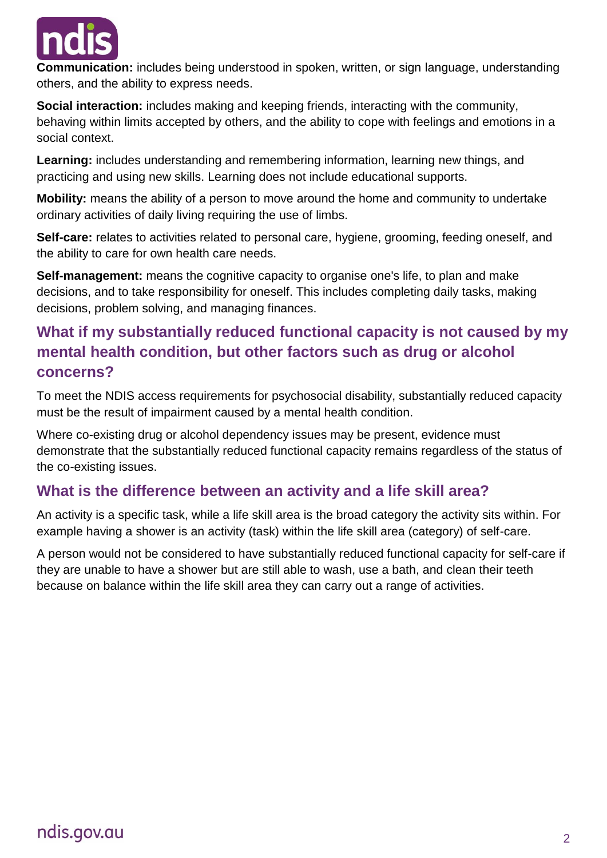

**Communication:** includes being understood in spoken, written, or sign language, understanding others, and the ability to express needs.

**Social interaction:** includes making and keeping friends, interacting with the community, behaving within limits accepted by others, and the ability to cope with feelings and emotions in a social context.

**Learning:** includes understanding and remembering information, learning new things, and practicing and using new skills. Learning does not include educational supports.

**Mobility:** means the ability of a person to move around the home and community to undertake ordinary activities of daily living requiring the use of limbs.

**Self-care:** relates to activities related to personal care, hygiene, grooming, feeding oneself, and the ability to care for own health care needs.

**Self-management:** means the cognitive capacity to organise one's life, to plan and make decisions, and to take responsibility for oneself. This includes completing daily tasks, making decisions, problem solving, and managing finances.

### **What if my substantially reduced functional capacity is not caused by my mental health condition, but other factors such as drug or alcohol concerns?**

To meet the NDIS access requirements for psychosocial disability, substantially reduced capacity must be the result of impairment caused by a mental health condition.

Where co-existing drug or alcohol dependency issues may be present, evidence must demonstrate that the substantially reduced functional capacity remains regardless of the status of the co-existing issues.

### **What is the difference between an activity and a life skill area?**

An activity is a specific task, while a life skill area is the broad category the activity sits within. For example having a shower is an activity (task) within the life skill area (category) of self-care.

A person would not be considered to have substantially reduced functional capacity for self-care if they are unable to have a shower but are still able to wash, use a bath, and clean their teeth because on balance within the life skill area they can carry out a range of activities.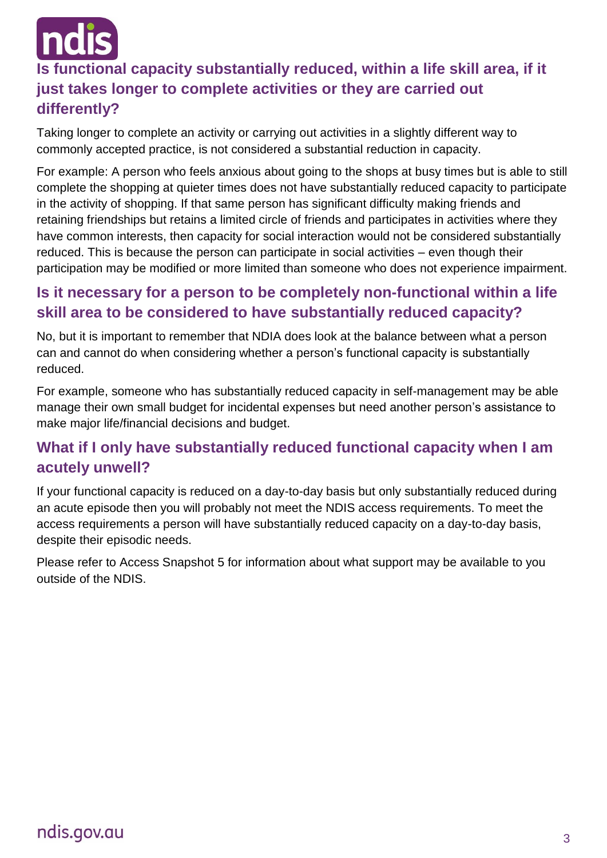

# **Is functional capacity substantially reduced, within a life skill area, if it just takes longer to complete activities or they are carried out differently?**

Taking longer to complete an activity or carrying out activities in a slightly different way to commonly accepted practice, is not considered a substantial reduction in capacity.

For example: A person who feels anxious about going to the shops at busy times but is able to still complete the shopping at quieter times does not have substantially reduced capacity to participate in the activity of shopping. If that same person has significant difficulty making friends and retaining friendships but retains a limited circle of friends and participates in activities where they have common interests, then capacity for social interaction would not be considered substantially reduced. This is because the person can participate in social activities – even though their participation may be modified or more limited than someone who does not experience impairment.

### **Is it necessary for a person to be completely non-functional within a life skill area to be considered to have substantially reduced capacity?**

No, but it is important to remember that NDIA does look at the balance between what a person can and cannot do when considering whether a person's functional capacity is substantially reduced.

For example, someone who has substantially reduced capacity in self-management may be able manage their own small budget for incidental expenses but need another person's assistance to make major life/financial decisions and budget.

### **What if I only have substantially reduced functional capacity when I am acutely unwell?**

If your functional capacity is reduced on a day-to-day basis but only substantially reduced during an acute episode then you will probably not meet the NDIS access requirements. To meet the access requirements a person will have substantially reduced capacity on a day-to-day basis, despite their episodic needs.

Please refer to Access Snapshot 5 for information about what support may be available to you outside of the NDIS.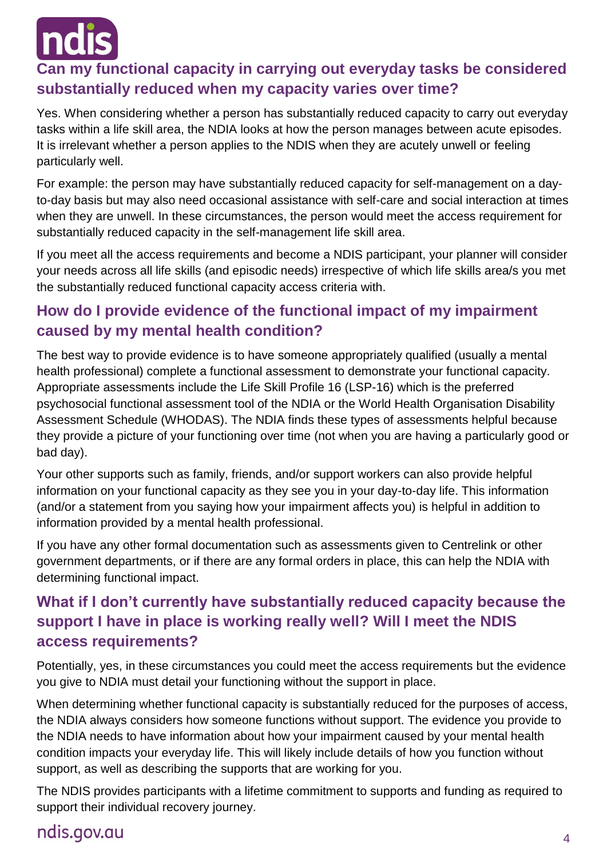## **Can my functional capacity in carrying out everyday tasks be considered substantially reduced when my capacity varies over time?**

Yes. When considering whether a person has substantially reduced capacity to carry out everyday tasks within a life skill area, the NDIA looks at how the person manages between acute episodes. It is irrelevant whether a person applies to the NDIS when they are acutely unwell or feeling particularly well.

For example: the person may have substantially reduced capacity for self-management on a dayto-day basis but may also need occasional assistance with self-care and social interaction at times when they are unwell. In these circumstances, the person would meet the access requirement for substantially reduced capacity in the self-management life skill area.

If you meet all the access requirements and become a NDIS participant, your planner will consider your needs across all life skills (and episodic needs) irrespective of which life skills area/s you met the substantially reduced functional capacity access criteria with.

### **How do I provide evidence of the functional impact of my impairment caused by my mental health condition?**

The best way to provide evidence is to have someone appropriately qualified (usually a mental health professional) complete a functional assessment to demonstrate your functional capacity. Appropriate assessments include the Life Skill Profile 16 (LSP-16) which is the preferred psychosocial functional assessment tool of the NDIA or the World Health Organisation Disability Assessment Schedule (WHODAS). The NDIA finds these types of assessments helpful because they provide a picture of your functioning over time (not when you are having a particularly good or bad day).

Your other supports such as family, friends, and/or support workers can also provide helpful information on your functional capacity as they see you in your day-to-day life. This information (and/or a statement from you saying how your impairment affects you) is helpful in addition to information provided by a mental health professional.

If you have any other formal documentation such as assessments given to Centrelink or other government departments, or if there are any formal orders in place, this can help the NDIA with determining functional impact.

## **What if I don't currently have substantially reduced capacity because the support I have in place is working really well? Will I meet the NDIS access requirements?**

Potentially, yes, in these circumstances you could meet the access requirements but the evidence you give to NDIA must detail your functioning without the support in place.

When determining whether functional capacity is substantially reduced for the purposes of access, the NDIA always considers how someone functions without support. The evidence you provide to the NDIA needs to have information about how your impairment caused by your mental health condition impacts your everyday life. This will likely include details of how you function without support, as well as describing the supports that are working for you.

The NDIS provides participants with a lifetime commitment to supports and funding as required to support their individual recovery journey.

# ndis.gov.au